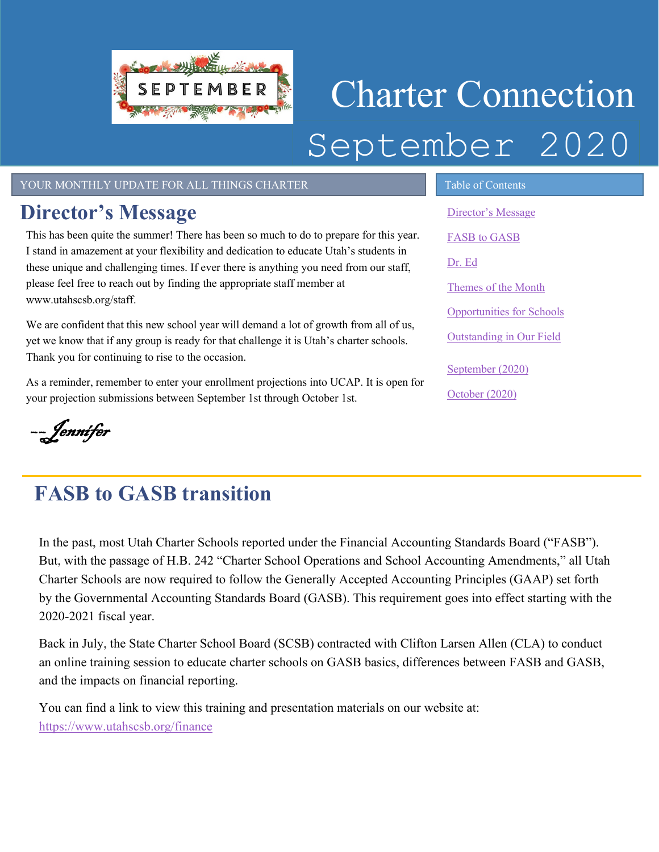

# Charter Connection September 2020

#### YOUR MONTHLY UPDATE FOR ALL THINGS CHARTER TABLE OF Contents

### <span id="page-0-0"></span>**Director's Message**

This has been quite the summer! There has been so much to do to prepare for this year. I stand in amazement at your flexibility and dedication to educate Utah's students in these unique and challenging times. If ever there is anything you need from our staff, please feel free to reach out by finding the appropriate staff member at www.utahscsb.org/staff.

We are confident that this new school year will demand a lot of growth from all of us, yet we know that if any group is ready for that challenge it is Utah's charter schools. Thank you for continuing to rise to the occasion.

As a reminder, remember to enter your enrollment projections into UCAP. It is open for your projection submissions between September 1st through October 1st.

––Jennifer

## <span id="page-0-1"></span>**FASB to GASB transition**

In the past, most Utah Charter Schools reported under the Financial Accounting Standards Board ("FASB"). But, with the passage of H.B. 242 "Charter School Operations and School Accounting Amendments," all Utah Charter Schools are now required to follow the Generally Accepted Accounting Principles (GAAP) set forth by the Governmental Accounting Standards Board (GASB). This requirement goes into effect starting with the 2020-2021 fiscal year.

Back in July, the State Charter School Board (SCSB) contracted with Clifton Larsen Allen (CLA) to conduct an online training session to educate charter schools on GASB basics, differences between FASB and GASB, and the impacts on financial reporting.

You can find a link to view this training and presentation materials on our website at: <https://www.utahscsb.org/finance>

[Director's Message](#page-0-0) [FASB to GASB](#page-0-1) [Dr. Ed](#page-1-0) Themes of the Month [Opportunities for Schools](#page-2-0)  [Outstanding in Our Field](#page-2-1) [September](#page-3-0) (2020) [October](#page-3-1) (2020)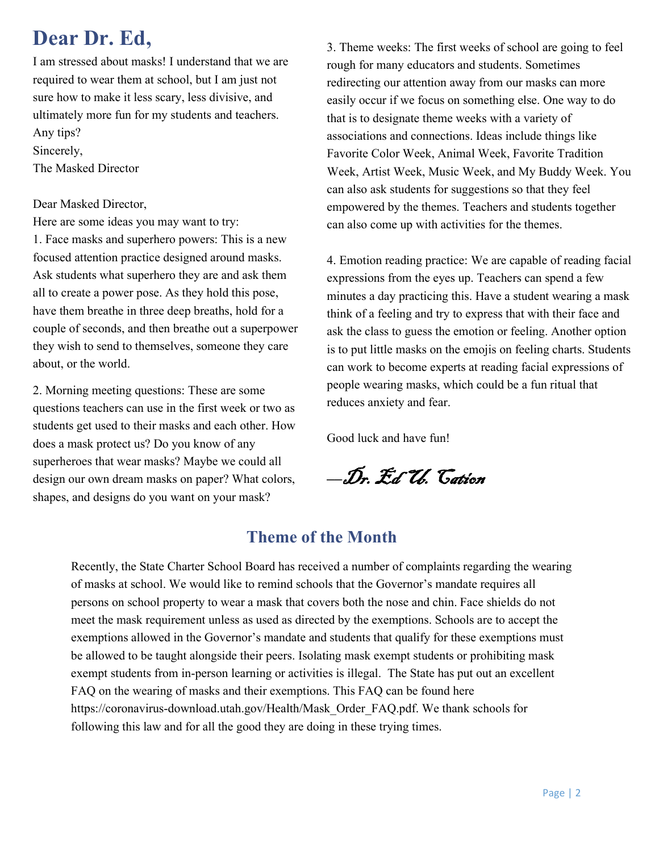### <span id="page-1-0"></span>**Dear Dr. Ed,**

I am stressed about masks! I understand that we are required to wear them at school, but I am just not sure how to make it less scary, less divisive, and ultimately more fun for my students and teachers. Any tips?

Sincerely,

The Masked Director

#### Dear Masked Director,

Here are some ideas you may want to try:

1. Face masks and superhero powers: This is a new focused attention practice designed around masks. Ask students what superhero they are and ask them all to create a power pose. As they hold this pose, have them breathe in three deep breaths, hold for a couple of seconds, and then breathe out a superpower they wish to send to themselves, someone they care about, or the world.

2. Morning meeting questions: These are some questions teachers can use in the first week or two as students get used to their masks and each other. How does a mask protect us? Do you know of any superheroes that wear masks? Maybe we could all design our own dream masks on paper? What colors, shapes, and designs do you want on your mask?

3. Theme weeks: The first weeks of school are going to feel rough for many educators and students. Sometimes redirecting our attention away from our masks can more easily occur if we focus on something else. One way to do that is to designate theme weeks with a variety of associations and connections. Ideas include things like Favorite Color Week, Animal Week, Favorite Tradition Week, Artist Week, Music Week, and My Buddy Week. You can also ask students for suggestions so that they feel empowered by the themes. Teachers and students together can also come up with activities for the themes.

4. Emotion reading practice: We are capable of reading facial expressions from the eyes up. Teachers can spend a few minutes a day practicing this. Have a student wearing a mask think of a feeling and try to express that with their face and ask the class to guess the emotion or feeling. Another option is to put little masks on the emojis on feeling charts. Students can work to become experts at reading facial expressions of people wearing masks, which could be a fun ritual that reduces anxiety and fear.

Good luck and have fun!

*––*Dr. Ed U. Cation

### **Theme of the Month**

Recently, the State Charter School Board has received a number of complaints regarding the wearing of masks at school. We would like to remind schools that the Governor's mandate requires all persons on school property to wear a mask that covers both the nose and chin. Face shields do not meet the mask requirement unless as used as directed by the exemptions. Schools are to accept the exemptions allowed in the Governor's mandate and students that qualify for these exemptions must be allowed to be taught alongside their peers. Isolating mask exempt students or prohibiting mask exempt students from in-person learning or activities is illegal. The State has put out an excellent FAQ on the wearing of masks and their exemptions. This FAQ can be found here https://coronavirus-download.utah.gov/Health/Mask\_Order\_FAQ.pdf. We thank schools for following this law and for all the good they are doing in these trying times.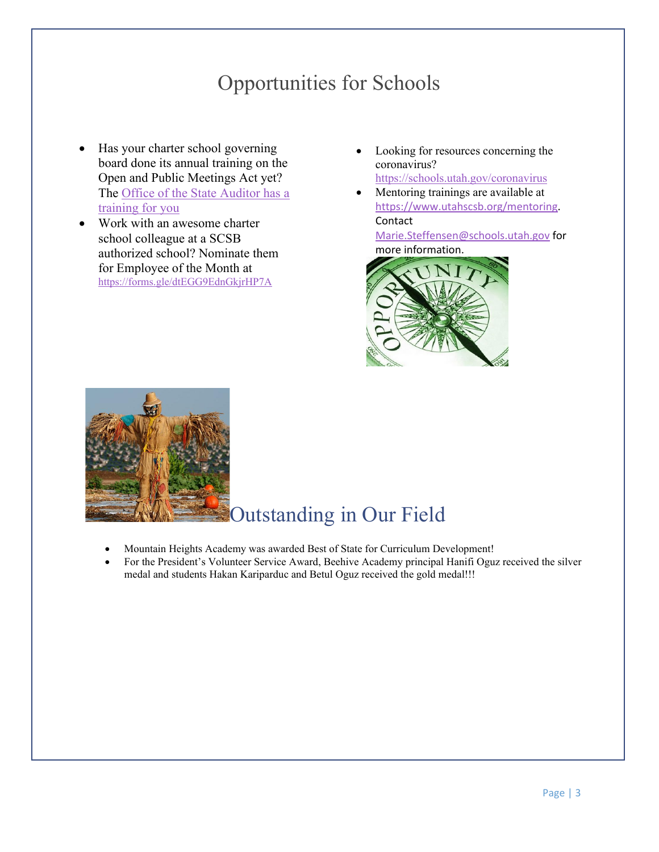### Opportunities for Schools

- <span id="page-2-0"></span>• Has your charter school governing board done its annual training on the Open and Public Meetings Act yet? The [Office of the State Auditor has a](http://training.auditor.utah.gov/courses/open-and-public-meetings-act-2019)  [training for you](http://training.auditor.utah.gov/courses/open-and-public-meetings-act-2019)
- Work with an awesome charter school colleague at a SCSB authorized school? Nominate them for Employee of the Month at <https://forms.gle/dtEGG9EdnGkjrHP7A>
- Looking for resources concerning the coronavirus?

<https://schools.utah.gov/coronavirus>

• Mentoring trainings are available at [https://www.utahscsb.org/mentoring.](https://www.utahscsb.org/mentoring) Contact

[Marie.Steffensen@schools.utah.gov](mailto:Marie.Steffensen@schools.utah.gov) for more information.



<span id="page-2-1"></span>

### Outstanding in Our Field

- Mountain Heights Academy was awarded Best of State for Curriculum Development!
- For the President's Volunteer Service Award, Beehive Academy principal Hanifi Oguz received the silver medal and students Hakan Kariparduc and Betul Oguz received the gold medal!!!